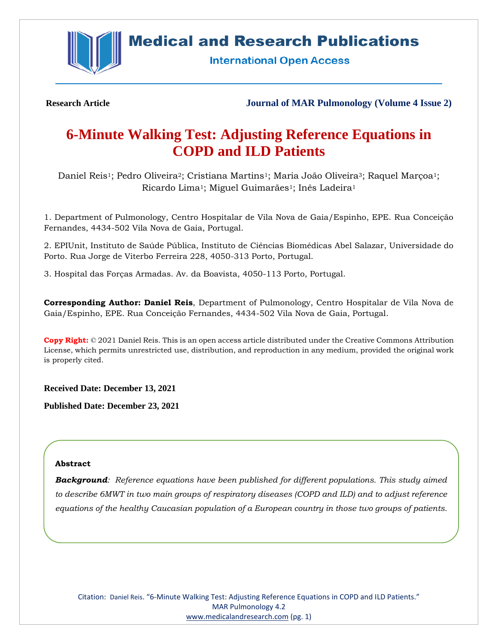

# **Medical and Research Publications**

**International Open Access** 

**Research Article Journal of MAR Pulmonology (Volume 4 Issue 2)**

# **6-Minute Walking Test: Adjusting Reference Equations in COPD and ILD Patients**

Daniel Reis<sup>1</sup>; Pedro Oliveira<sup>2</sup>; Cristiana Martins<sup>1</sup>; Maria João Oliveira<sup>3</sup>; Raquel Marçoa<sup>1</sup>; Ricardo Lima<sup>1</sup>; Miguel Guimarães<sup>1</sup>; Inês Ladeira<sup>1</sup>

1. Department of Pulmonology, Centro Hospitalar de Vila Nova de Gaia/Espinho, EPE. Rua Conceição Fernandes, 4434-502 Vila Nova de Gaia, Portugal.

2. EPIUnit, Instituto de Saúde Pública, Instituto de Ciências Biomédicas Abel Salazar, Universidade do Porto. Rua Jorge de Viterbo Ferreira 228, 4050-313 Porto, Portugal.

3. Hospital das Forças Armadas. Av. da Boavista, 4050-113 Porto, Portugal.

**Corresponding Author: Daniel Reis**, Department of Pulmonology, Centro Hospitalar de Vila Nova de Gaia/Espinho, EPE. Rua Conceição Fernandes, 4434-502 Vila Nova de Gaia, Portugal.

**Copy Right:** © 2021 Daniel Reis. This is an open access article distributed under the Creative Commons Attribution License, which permits unrestricted use, distribution, and reproduction in any medium, provided the original work is properly cited.

**Received Date: December 13, 2021**

**Published Date: December 23, 2021**

#### **Abstract**

*Background: Reference equations have been published for different populations. This study aimed to describe 6MWT in two main groups of respiratory diseases (COPD and ILD) and to adjust reference equations of the healthy Caucasian population of a European country in those two groups of patients.*

Citation: Daniel Reis. "6-Minute Walking Test: Adjusting Reference Equations in COPD and ILD Patients." MAR Pulmonology 4.2 [www.medicalandresearch.com](http://www.medicalandresearch.com/) (pg. 1)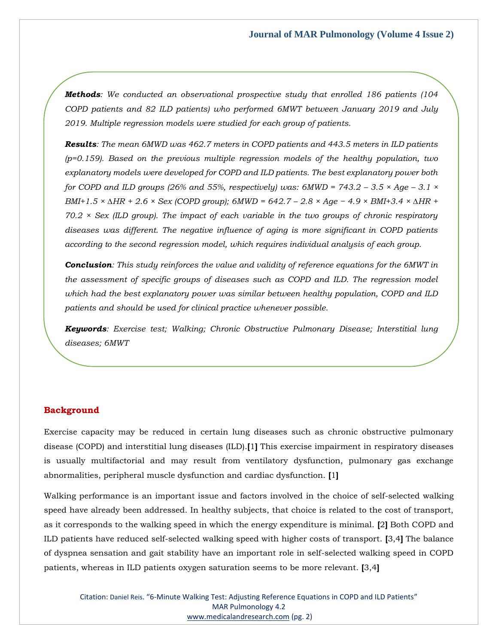*Methods: We conducted an observational prospective study that enrolled 186 patients (104 COPD patients and 82 ILD patients) who performed 6MWT between January 2019 and July 2019. Multiple regression models were studied for each group of patients.*

*Results: The mean 6MWD was 462.7 meters in COPD patients and 443.5 meters in ILD patients (p=0.159). Based on the previous multiple regression models of the healthy population, two explanatory models were developed for COPD and ILD patients. The best explanatory power both for COPD and ILD groups (26% and 55%, respectively) was: 6MWD =*  $743.2 - 3.5 \times Age - 3.1 \times$ *BMI+1.5 × ∆HR + 2.6 × Sex (COPD group); 6MWD = 642.7 – 2.8 × Age − 4.9 × BMI+3.4 × ∆HR + 70.2 × Sex (ILD group). The impact of each variable in the two groups of chronic respiratory diseases was different. The negative influence of aging is more significant in COPD patients according to the second regression model, which requires individual analysis of each group.*

*Conclusion: This study reinforces the value and validity of reference equations for the 6MWT in the assessment of specific groups of diseases such as COPD and ILD. The regression model which had the best explanatory power was similar between healthy population, COPD and ILD patients and should be used for clinical practice whenever possible.*

*Keywords: Exercise test; Walking; Chronic Obstructive Pulmonary Disease; Interstitial lung diseases; 6MWT*

# **Background**

Exercise capacity may be reduced in certain lung diseases such as chronic obstructive pulmonary disease (COPD) and interstitial lung diseases (ILD).**[**1**]** This exercise impairment in respiratory diseases is usually multifactorial and may result from ventilatory dysfunction, pulmonary gas exchange abnormalities, peripheral muscle dysfunction and cardiac dysfunction. **[**1**]**

Walking performance is an important issue and factors involved in the choice of self-selected walking speed have already been addressed. In healthy subjects, that choice is related to the cost of transport, as it corresponds to the walking speed in which the energy expenditure is minimal. **[**2**]** Both COPD and ILD patients have reduced self-selected walking speed with higher costs of transport. **[**3,4**]** The balance of dyspnea sensation and gait stability have an important role in self-selected walking speed in COPD patients, whereas in ILD patients oxygen saturation seems to be more relevant. **[**3,4**]**

Citation: Daniel Reis. "6-Minute Walking Test: Adjusting Reference Equations in COPD and ILD Patients" MAR Pulmonology 4.2 [www.medicalandresearch.com](http://www.medicalandresearch.com/) (pg. 2)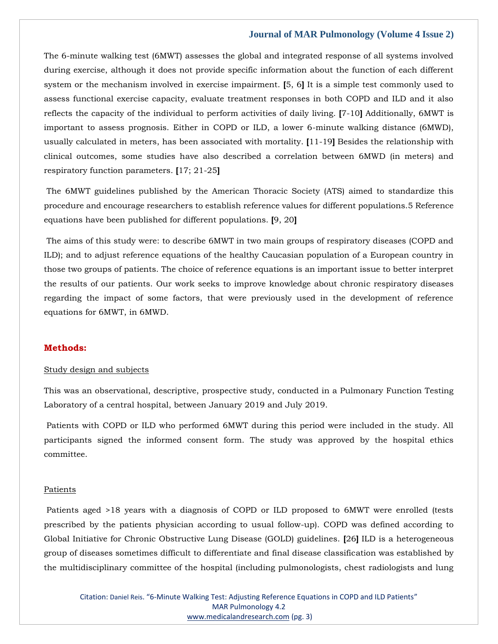The 6-minute walking test (6MWT) assesses the global and integrated response of all systems involved during exercise, although it does not provide specific information about the function of each different system or the mechanism involved in exercise impairment. **[**5, 6**]** It is a simple test commonly used to assess functional exercise capacity, evaluate treatment responses in both COPD and ILD and it also reflects the capacity of the individual to perform activities of daily living. **[**7-10**]** Additionally, 6MWT is important to assess prognosis. Either in COPD or ILD, a lower 6-minute walking distance (6MWD), usually calculated in meters, has been associated with mortality. **[**11-19**]** Besides the relationship with clinical outcomes, some studies have also described a correlation between 6MWD (in meters) and respiratory function parameters. **[**17; 21-25**]**

The 6MWT guidelines published by the American Thoracic Society (ATS) aimed to standardize this procedure and encourage researchers to establish reference values for different populations.5 Reference equations have been published for different populations. **[**9, 20**]**

The aims of this study were: to describe 6MWT in two main groups of respiratory diseases (COPD and ILD); and to adjust reference equations of the healthy Caucasian population of a European country in those two groups of patients. The choice of reference equations is an important issue to better interpret the results of our patients. Our work seeks to improve knowledge about chronic respiratory diseases regarding the impact of some factors, that were previously used in the development of reference equations for 6MWT, in 6MWD.

#### **Methods:**

#### Study design and subjects

This was an observational, descriptive, prospective study, conducted in a Pulmonary Function Testing Laboratory of a central hospital, between January 2019 and July 2019.

Patients with COPD or ILD who performed 6MWT during this period were included in the study. All participants signed the informed consent form. The study was approved by the hospital ethics committee.

#### Patients

Patients aged >18 years with a diagnosis of COPD or ILD proposed to 6MWT were enrolled (tests prescribed by the patients physician according to usual follow-up). COPD was defined according to Global Initiative for Chronic Obstructive Lung Disease (GOLD) guidelines. **[**26**]** ILD is a heterogeneous group of diseases sometimes difficult to differentiate and final disease classification was established by the multidisciplinary committee of the hospital (including pulmonologists, chest radiologists and lung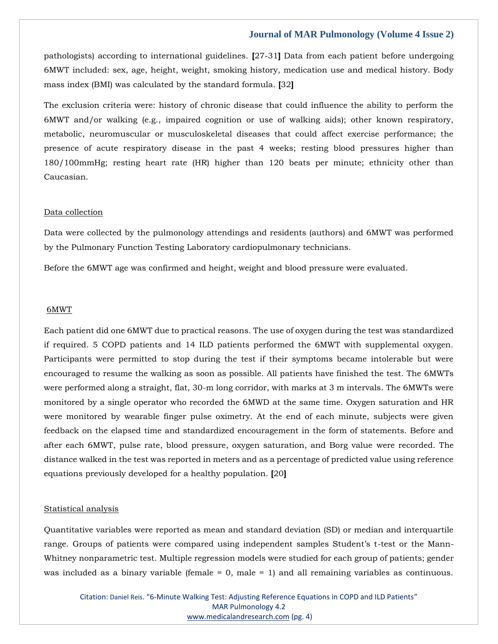pathologists) according to international guidelines. **[**27-31**]** Data from each patient before undergoing 6MWT included: sex, age, height, weight, smoking history, medication use and medical history. Body mass index (BMI) was calculated by the standard formula. **[**32**]**

The exclusion criteria were: history of chronic disease that could influence the ability to perform the 6MWT and/or walking (e.g., impaired cognition or use of walking aids); other known respiratory, metabolic, neuromuscular or musculoskeletal diseases that could affect exercise performance; the presence of acute respiratory disease in the past 4 weeks; resting blood pressures higher than 180/100mmHg; resting heart rate (HR) higher than 120 beats per minute; ethnicity other than Caucasian.

#### Data collection

Data were collected by the pulmonology attendings and residents (authors) and 6MWT was performed by the Pulmonary Function Testing Laboratory cardiopulmonary technicians.

Before the 6MWT age was confirmed and height, weight and blood pressure were evaluated.

#### 6MWT

Each patient did one 6MWT due to practical reasons. The use of oxygen during the test was standardized if required. 5 COPD patients and 14 ILD patients performed the 6MWT with supplemental oxygen. Participants were permitted to stop during the test if their symptoms became intolerable but were encouraged to resume the walking as soon as possible. All patients have finished the test. The 6MWTs were performed along a straight, flat, 30-m long corridor, with marks at 3 m intervals. The 6MWTs were monitored by a single operator who recorded the 6MWD at the same time. Oxygen saturation and HR were monitored by wearable finger pulse oximetry. At the end of each minute, subjects were given feedback on the elapsed time and standardized encouragement in the form of statements. Before and after each 6MWT, pulse rate, blood pressure, oxygen saturation, and Borg value were recorded. The distance walked in the test was reported in meters and as a percentage of predicted value using reference equations previously developed for a healthy population. **[**20**]**

#### Statistical analysis

Quantitative variables were reported as mean and standard deviation (SD) or median and interquartile range. Groups of patients were compared using independent samples Student's t-test or the Mann-Whitney nonparametric test. Multiple regression models were studied for each group of patients; gender was included as a binary variable (female = 0, male = 1) and all remaining variables as continuous.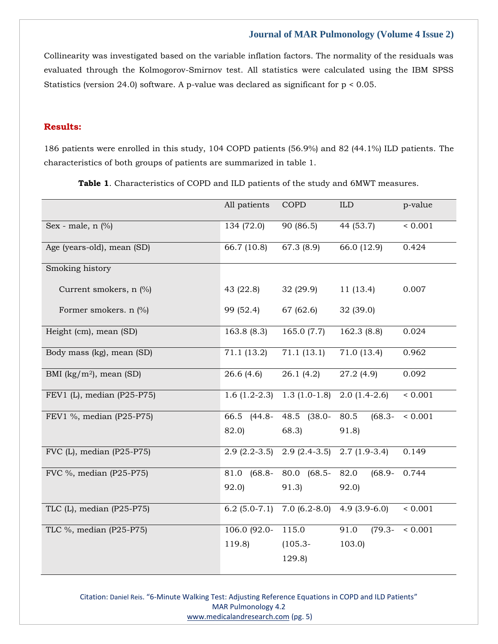Collinearity was investigated based on the variable inflation factors. The normality of the residuals was evaluated through the Kolmogorov-Smirnov test. All statistics were calculated using the IBM SPSS Statistics (version 24.0) software. A p-value was declared as significant for p < 0.05.

# **Results:**

186 patients were enrolled in this study, 104 COPD patients (56.9%) and 82 (44.1%) ILD patients. The characteristics of both groups of patients are summarized in table 1.

|                                               | All patients            | <b>COPD</b>       | ${\rm ILD}$       | p-value             |
|-----------------------------------------------|-------------------------|-------------------|-------------------|---------------------|
| Sex - male, $n$ $\frac{9}{6}$                 | 134 (72.0)              | 90 (86.5)         | 44 (53.7)         | ${}< 0.001$         |
| Age (years-old), mean (SD)                    | 66.7 (10.8)             | 67.3 (8.9)        | 66.0 (12.9)       | 0.424               |
| Smoking history                               |                         |                   |                   |                     |
| Current smokers, n (%)                        | 43 $(22.8)$             | 32(29.9)          | 11(13.4)          | 0.007               |
| Former smokers. $n$ (%)                       | 99 (52.4)               | 67 (62.6)         | 32 (39.0)         |                     |
| Height (cm), mean (SD)                        | 163.8(8.3)              | 165.0 $(7.7)$     | 162.3 (8.8)       | 0.024               |
| Body mass (kg), mean (SD)                     | $\overline{7}1.1(13.2)$ | 71.1(13.1)        | 71.0 (13.4)       | 0.962               |
| BMI ( $\text{kg/m}^2$ ), mean (SD)            | 26.6(4.6)               | 26.1(4.2)         | 27.2(4.9)         | 0.092               |
| FEV1 (L), median (P25-P75)                    | $1.6(1.2-2.3)$          | $1.3(1.0-1.8)$    | $2.0(1.4-2.6)$    | $\frac{1}{6}$ 0.001 |
| FEV1 %, median (P25-P75)                      | 66.5 (44.8-             | $(38.0 -$<br>48.5 | 80.5<br>$(68.3 -$ | ${}< 0.001$         |
|                                               | 82.0)                   | 68.3              | 91.8)             |                     |
| $\overline{\text{FVC}}$ (L), median (P25-P75) | $2.9(2.2-3.5)$          | $2.9(2.4-3.5)$    | $2.7(1.9-3.4)$    | 0.149               |
| FVC %, median (P25-P75)                       | 81.0<br>$(68.8 -$       | 80.0 (68.5-       | $(68.9 -$<br>82.0 | 0.744               |
|                                               | 92.0                    | 91.3)             | 92.0)             |                     |
| TLC (L), median (P25-P75)                     | $6.2(5.0-7.1)$          | $7.0(6.2-8.0)$    | $4.9(3.9-6.0)$    | ${}< 0.001$         |
| TLC %, median (P25-P75)                       | 106.0 (92.0-            | 115.0             | 91.0<br>$(79.3 -$ | ${}< 0.001$         |
|                                               | 119.8)                  | $(105.3 -$        | 103.0             |                     |
|                                               |                         | 129.8)            |                   |                     |

**Table 1**. Characteristics of COPD and ILD patients of the study and 6MWT measures.

Citation: Daniel Reis. "6-Minute Walking Test: Adjusting Reference Equations in COPD and ILD Patients" MAR Pulmonology 4.2 [www.medicalandresearch.com](http://www.medicalandresearch.com/) (pg. 5)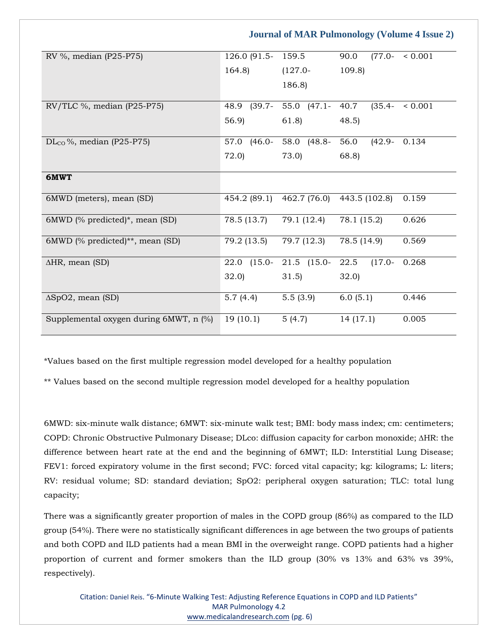RV %, median (P25-P75) 126.0 (91.5-164.8) 159.5 (127.0- 186.8) 90.0 (77.0- < 0.001 109.8) RV/TLC %, median (P25-P75) 48.9 (39.7- 56.9) 55.0 (47.1- 61.8) 40.7 (35.4- < 0.001 48.5) DL<sub>CO</sub>%, median (P25-P75) 57.0 (46.0-72.0) 58.0 (48.8- 73.0) 56.0 (42.9- 0.134 68.8) **6MWT** 6MWD (meters), mean (SD) 454.2 (89.1) 462.7 (76.0) 443.5 (102.8) 0.159 6MWD (% predicted)\*, mean (SD) 78.5 (13.7) 79.1 (12.4) 78.1 (15.2) 0.626 6MWD (% predicted)\*\*, mean (SD) 79.2 (13.5) 79.7 (12.3) 78.5 (14.9) 0.569 ∆HR, mean (SD) 22.0 (15.0- 32.0) 21.5 (15.0- 31.5)  $22.5$   $(17.0-$ 32.0) 0.268 ∆SpO2, mean (SD) 5.7 (4.4) 5.5 (3.9) 6.0 (5.1) 0.446 Supplemental oxygen during  $6MWT$ , n  $\binom{9}{0}$  19 (10.1) 5 (4.7) 14 (17.1) 0.005

 **Journal of MAR Pulmonology (Volume 4 Issue 2)**

\*Values based on the first multiple regression model developed for a healthy population

\*\* Values based on the second multiple regression model developed for a healthy population

6MWD: six-minute walk distance; 6MWT: six-minute walk test; BMI: body mass index; cm: centimeters; COPD: Chronic Obstructive Pulmonary Disease; DLco: diffusion capacity for carbon monoxide; ∆HR: the difference between heart rate at the end and the beginning of 6MWT; ILD: Interstitial Lung Disease; FEV1: forced expiratory volume in the first second; FVC: forced vital capacity; kg: kilograms; L: liters; RV: residual volume; SD: standard deviation; SpO2: peripheral oxygen saturation; TLC: total lung capacity;

There was a significantly greater proportion of males in the COPD group (86%) as compared to the ILD group (54%). There were no statistically significant differences in age between the two groups of patients and both COPD and ILD patients had a mean BMI in the overweight range. COPD patients had a higher proportion of current and former smokers than the ILD group (30% vs 13% and 63% vs 39%, respectively).

Citation: Daniel Reis. "6-Minute Walking Test: Adjusting Reference Equations in COPD and ILD Patients" MAR Pulmonology 4.2 [www.medicalandresearch.com](http://www.medicalandresearch.com/) (pg. 6)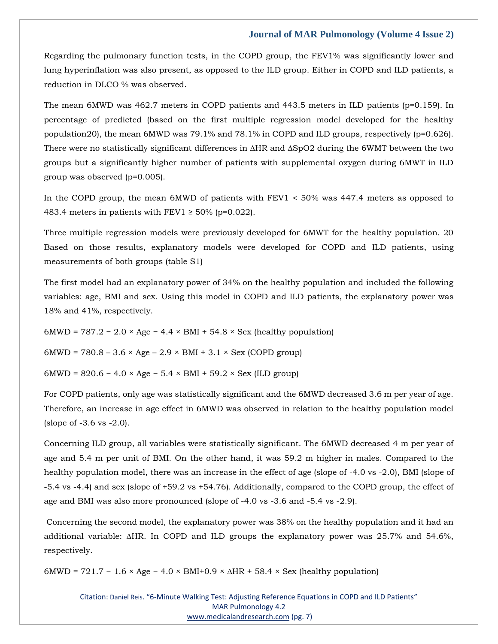Regarding the pulmonary function tests, in the COPD group, the FEV1% was significantly lower and lung hyperinflation was also present, as opposed to the ILD group. Either in COPD and ILD patients, a reduction in DLCO % was observed.

The mean 6MWD was 462.7 meters in COPD patients and 443.5 meters in ILD patients (p=0.159). In percentage of predicted (based on the first multiple regression model developed for the healthy population20), the mean 6MWD was 79.1% and 78.1% in COPD and ILD groups, respectively (p=0.626). There were no statistically significant differences in ∆HR and ∆SpO2 during the 6WMT between the two groups but a significantly higher number of patients with supplemental oxygen during 6MWT in ILD group was observed (p=0.005).

In the COPD group, the mean 6MWD of patients with FEV1 < 50% was 447.4 meters as opposed to 483.4 meters in patients with FEV1  $\geq$  50% (p=0.022).

Three multiple regression models were previously developed for 6MWT for the healthy population. 20 Based on those results, explanatory models were developed for COPD and ILD patients, using measurements of both groups (table S1)

The first model had an explanatory power of 34% on the healthy population and included the following variables: age, BMI and sex. Using this model in COPD and ILD patients, the explanatory power was 18% and 41%, respectively.

 $6MWD = 787.2 - 2.0 \times Age - 4.4 \times BMI + 54.8 \times Sex$  (healthy population)

 $6MWD = 780.8 - 3.6 \times Age - 2.9 \times BMI + 3.1 \times Sex (COPD group)$ 

6MWD =  $820.6 - 4.0 \times Age - 5.4 \times BMI + 59.2 \times Sex (ILD group)$ 

For COPD patients, only age was statistically significant and the 6MWD decreased 3.6 m per year of age. Therefore, an increase in age effect in 6MWD was observed in relation to the healthy population model (slope of -3.6 vs -2.0).

Concerning ILD group, all variables were statistically significant. The 6MWD decreased 4 m per year of age and 5.4 m per unit of BMI. On the other hand, it was 59.2 m higher in males. Compared to the healthy population model, there was an increase in the effect of age (slope of -4.0 vs -2.0), BMI (slope of -5.4 vs -4.4) and sex (slope of +59.2 vs +54.76). Additionally, compared to the COPD group, the effect of age and BMI was also more pronounced (slope of -4.0 vs -3.6 and -5.4 vs -2.9).

Concerning the second model, the explanatory power was 38% on the healthy population and it had an additional variable: ∆HR. In COPD and ILD groups the explanatory power was 25.7% and 54.6%, respectively.

 $6MWD = 721.7 - 1.6 \times Age - 4.0 \times BMI + 0.9 \times \Delta HR + 58.4 \times Sex$  (healthy population)

Citation: Daniel Reis. "6-Minute Walking Test: Adjusting Reference Equations in COPD and ILD Patients" MAR Pulmonology 4.2 [www.medicalandresearch.com](http://www.medicalandresearch.com/) (pg. 7)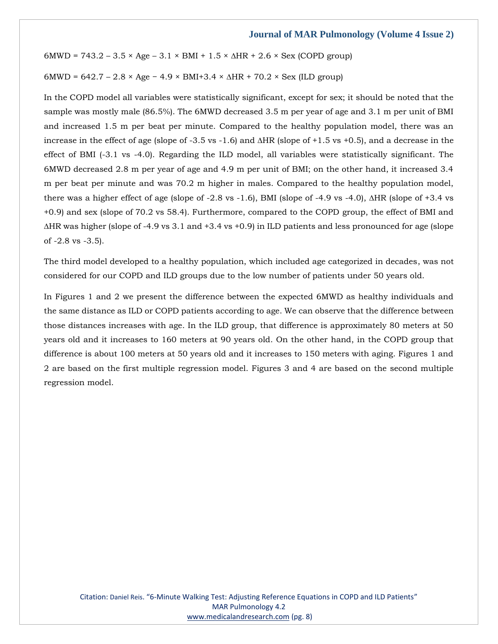6MWD = 743.2 – 3.5 × Age – 3.1 × BMI + 1.5 × ∆HR + 2.6 × Sex (COPD group)

6MWD = 642.7 – 2.8 × Age − 4.9 × BMI+3.4 × ∆HR + 70.2 × Sex (ILD group)

In the COPD model all variables were statistically significant, except for sex; it should be noted that the sample was mostly male (86.5%). The 6MWD decreased 3.5 m per year of age and 3.1 m per unit of BMI and increased 1.5 m per beat per minute. Compared to the healthy population model, there was an increase in the effect of age (slope of -3.5 vs -1.6) and ∆HR (slope of +1.5 vs +0.5), and a decrease in the effect of BMI (-3.1 vs -4.0). Regarding the ILD model, all variables were statistically significant. The 6MWD decreased 2.8 m per year of age and 4.9 m per unit of BMI; on the other hand, it increased 3.4 m per beat per minute and was 70.2 m higher in males. Compared to the healthy population model, there was a higher effect of age (slope of -2.8 vs -1.6), BMI (slope of -4.9 vs -4.0), ∆HR (slope of +3.4 vs +0.9) and sex (slope of 70.2 vs 58.4). Furthermore, compared to the COPD group, the effect of BMI and ∆HR was higher (slope of -4.9 vs 3.1 and +3.4 vs +0.9) in ILD patients and less pronounced for age (slope of -2.8 vs -3.5).

The third model developed to a healthy population, which included age categorized in decades, was not considered for our COPD and ILD groups due to the low number of patients under 50 years old.

In Figures 1 and 2 we present the difference between the expected 6MWD as healthy individuals and the same distance as ILD or COPD patients according to age. We can observe that the difference between those distances increases with age. In the ILD group, that difference is approximately 80 meters at 50 years old and it increases to 160 meters at 90 years old. On the other hand, in the COPD group that difference is about 100 meters at 50 years old and it increases to 150 meters with aging. Figures 1 and 2 are based on the first multiple regression model. Figures 3 and 4 are based on the second multiple regression model.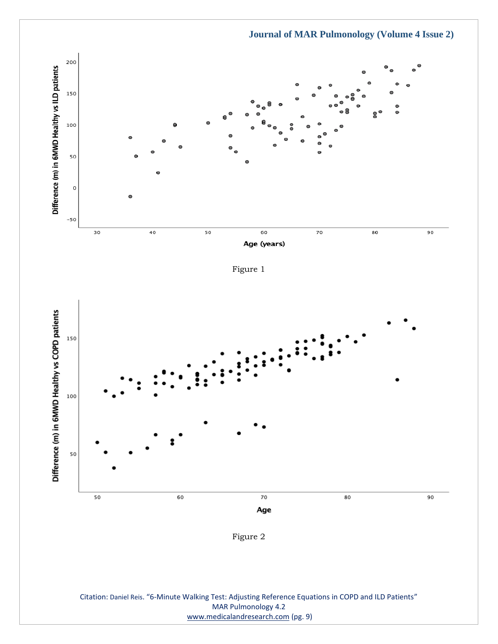

Figure 1



Citation: Daniel Reis. "6-Minute Walking Test: Adjusting Reference Equations in COPD and ILD Patients" MAR Pulmonology 4.2 [www.medicalandresearch.com](http://www.medicalandresearch.com/) (pg. 9)

# **Journal of MAR Pulmonology (Volume 4 Issue 2)**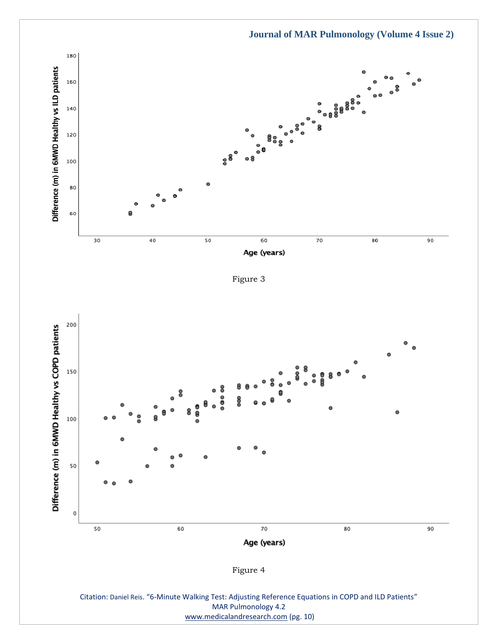

Figure 3



Citation: Daniel Reis. "6-Minute Walking Test: Adjusting Reference Equations in COPD and ILD Patients" MAR Pulmonology 4.2 [www.medicalandresearch.com](http://www.medicalandresearch.com/) (pg. 10)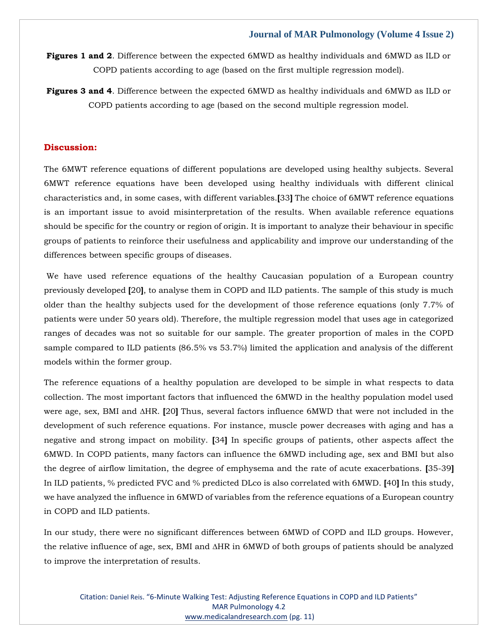**Figures 1 and 2**. Difference between the expected 6MWD as healthy individuals and 6MWD as ILD or COPD patients according to age (based on the first multiple regression model).

**Figures 3 and 4**. Difference between the expected 6MWD as healthy individuals and 6MWD as ILD or COPD patients according to age (based on the second multiple regression model.

# **Discussion:**

The 6MWT reference equations of different populations are developed using healthy subjects. Several 6MWT reference equations have been developed using healthy individuals with different clinical characteristics and, in some cases, with different variables.**[**33**]** The choice of 6MWT reference equations is an important issue to avoid misinterpretation of the results. When available reference equations should be specific for the country or region of origin. It is important to analyze their behaviour in specific groups of patients to reinforce their usefulness and applicability and improve our understanding of the differences between specific groups of diseases.

We have used reference equations of the healthy Caucasian population of a European country previously developed **[**20**]**, to analyse them in COPD and ILD patients. The sample of this study is much older than the healthy subjects used for the development of those reference equations (only 7.7% of patients were under 50 years old). Therefore, the multiple regression model that uses age in categorized ranges of decades was not so suitable for our sample. The greater proportion of males in the COPD sample compared to ILD patients (86.5% vs 53.7%) limited the application and analysis of the different models within the former group.

The reference equations of a healthy population are developed to be simple in what respects to data collection. The most important factors that influenced the 6MWD in the healthy population model used were age, sex, BMI and ∆HR. **[**20**]** Thus, several factors influence 6MWD that were not included in the development of such reference equations. For instance, muscle power decreases with aging and has a negative and strong impact on mobility. **[**34**]** In specific groups of patients, other aspects affect the 6MWD. In COPD patients, many factors can influence the 6MWD including age, sex and BMI but also the degree of airflow limitation, the degree of emphysema and the rate of acute exacerbations. **[**35-39**]** In ILD patients, % predicted FVC and % predicted DLco is also correlated with 6MWD. **[**40**]** In this study, we have analyzed the influence in 6MWD of variables from the reference equations of a European country in COPD and ILD patients.

In our study, there were no significant differences between 6MWD of COPD and ILD groups. However, the relative influence of age, sex, BMI and ∆HR in 6MWD of both groups of patients should be analyzed to improve the interpretation of results.

Citation: Daniel Reis. "6-Minute Walking Test: Adjusting Reference Equations in COPD and ILD Patients" MAR Pulmonology 4.2 [www.medicalandresearch.com](http://www.medicalandresearch.com/) (pg. 11)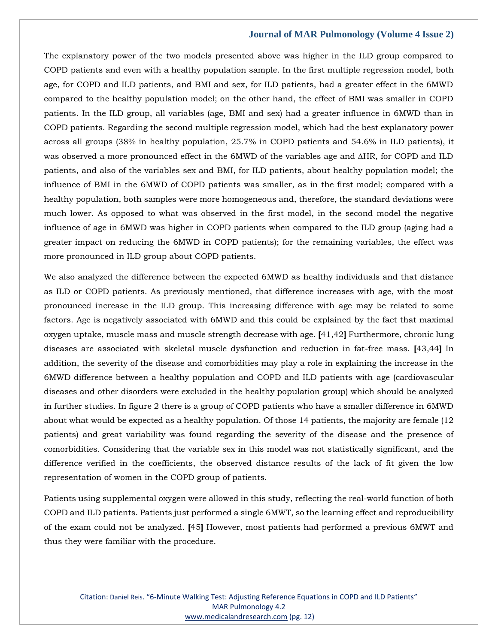The explanatory power of the two models presented above was higher in the ILD group compared to COPD patients and even with a healthy population sample. In the first multiple regression model, both age, for COPD and ILD patients, and BMI and sex, for ILD patients, had a greater effect in the 6MWD compared to the healthy population model; on the other hand, the effect of BMI was smaller in COPD patients. In the ILD group, all variables (age, BMI and sex) had a greater influence in 6MWD than in COPD patients. Regarding the second multiple regression model, which had the best explanatory power across all groups (38% in healthy population, 25.7% in COPD patients and 54.6% in ILD patients), it was observed a more pronounced effect in the 6MWD of the variables age and ∆HR, for COPD and ILD patients, and also of the variables sex and BMI, for ILD patients, about healthy population model; the influence of BMI in the 6MWD of COPD patients was smaller, as in the first model; compared with a healthy population, both samples were more homogeneous and, therefore, the standard deviations were much lower. As opposed to what was observed in the first model, in the second model the negative influence of age in 6MWD was higher in COPD patients when compared to the ILD group (aging had a greater impact on reducing the 6MWD in COPD patients); for the remaining variables, the effect was more pronounced in ILD group about COPD patients.

We also analyzed the difference between the expected 6MWD as healthy individuals and that distance as ILD or COPD patients. As previously mentioned, that difference increases with age, with the most pronounced increase in the ILD group. This increasing difference with age may be related to some factors. Age is negatively associated with 6MWD and this could be explained by the fact that maximal oxygen uptake, muscle mass and muscle strength decrease with age. **[**41,42**]** Furthermore, chronic lung diseases are associated with skeletal muscle dysfunction and reduction in fat-free mass. **[**43,44**]** In addition, the severity of the disease and comorbidities may play a role in explaining the increase in the 6MWD difference between a healthy population and COPD and ILD patients with age (cardiovascular diseases and other disorders were excluded in the healthy population group) which should be analyzed in further studies. In figure 2 there is a group of COPD patients who have a smaller difference in 6MWD about what would be expected as a healthy population. Of those 14 patients, the majority are female (12 patients) and great variability was found regarding the severity of the disease and the presence of comorbidities. Considering that the variable sex in this model was not statistically significant, and the difference verified in the coefficients, the observed distance results of the lack of fit given the low representation of women in the COPD group of patients.

Patients using supplemental oxygen were allowed in this study, reflecting the real-world function of both COPD and ILD patients. Patients just performed a single 6MWT, so the learning effect and reproducibility of the exam could not be analyzed. **[**45**]** However, most patients had performed a previous 6MWT and thus they were familiar with the procedure.

Citation: Daniel Reis. "6-Minute Walking Test: Adjusting Reference Equations in COPD and ILD Patients" MAR Pulmonology 4.2 [www.medicalandresearch.com](http://www.medicalandresearch.com/) (pg. 12)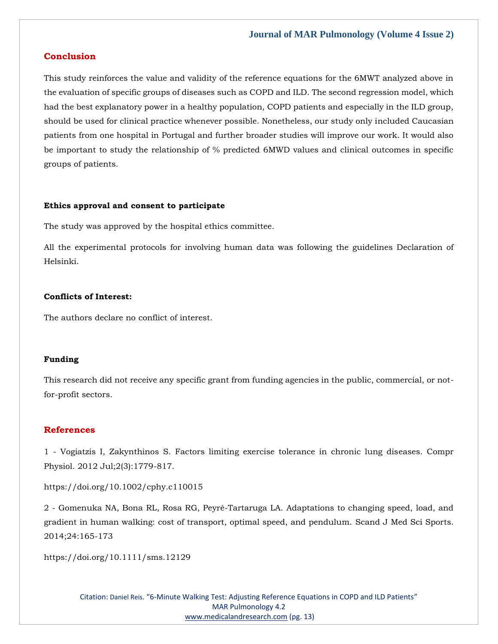# **Conclusion**

This study reinforces the value and validity of the reference equations for the 6MWT analyzed above in the evaluation of specific groups of diseases such as COPD and ILD. The second regression model, which had the best explanatory power in a healthy population, COPD patients and especially in the ILD group, should be used for clinical practice whenever possible. Nonetheless, our study only included Caucasian patients from one hospital in Portugal and further broader studies will improve our work. It would also be important to study the relationship of % predicted 6MWD values and clinical outcomes in specific groups of patients.

#### **Ethics approval and consent to participate**

The study was approved by the hospital ethics committee.

All the experimental protocols for involving human data was following the guidelines Declaration of Helsinki.

### **Conflicts of Interest:**

The authors declare no conflict of interest.

#### **Funding**

This research did not receive any specific grant from funding agencies in the public, commercial, or notfor-profit sectors.

# **References**

1 - Vogiatzis I, Zakynthinos S. Factors limiting exercise tolerance in chronic lung diseases. Compr Physiol. 2012 Jul;2(3):1779-817.

https://doi.org/10.1002/cphy.c110015

2 - Gomenuka NA, Bona RL, Rosa RG, Peyré-Tartaruga LA. Adaptations to changing speed, load, and gradient in human walking: cost of transport, optimal speed, and pendulum. Scand J Med Sci Sports. 2014;24:165-173

https://doi.org/10.1111/sms.12129

Citation: Daniel Reis. "6-Minute Walking Test: Adjusting Reference Equations in COPD and ILD Patients" MAR Pulmonology 4.2 [www.medicalandresearch.com](http://www.medicalandresearch.com/) (pg. 13)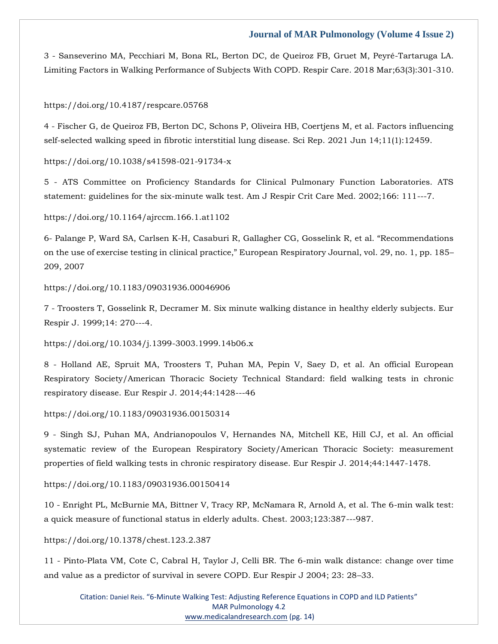3 - Sanseverino MA, Pecchiari M, Bona RL, Berton DC, de Queiroz FB, Gruet M, Peyré-Tartaruga LA. Limiting Factors in Walking Performance of Subjects With COPD. Respir Care. 2018 Mar;63(3):301-310.

#### https://doi.org/10.4187/respcare.05768

4 - Fischer G, de Queiroz FB, Berton DC, Schons P, Oliveira HB, Coertjens M, et al. Factors influencing self-selected walking speed in fibrotic interstitial lung disease. Sci Rep. 2021 Jun 14;11(1):12459.

#### https://doi.org/10.1038/s41598-021-91734-x

5 - ATS Committee on Proficiency Standards for Clinical Pulmonary Function Laboratories. ATS statement: guidelines for the six-minute walk test. Am J Respir Crit Care Med. 2002;166: 111---7.

https://doi.org/10.1164/ajrccm.166.1.at1102

6- Palange P, Ward SA, Carlsen K-H, Casaburi R, Gallagher CG, Gosselink R, et al. "Recommendations on the use of exercise testing in clinical practice," European Respiratory Journal, vol. 29, no. 1, pp. 185– 209, 2007

#### https://doi.org/10.1183/09031936.00046906

7 - Troosters T, Gosselink R, Decramer M. Six minute walking distance in healthy elderly subjects. Eur Respir J. 1999;14: 270---4.

https://doi.org/10.1034/j.1399-3003.1999.14b06.x

8 - Holland AE, Spruit MA, Troosters T, Puhan MA, Pepin V, Saey D, et al. An official European Respiratory Society/American Thoracic Society Technical Standard: field walking tests in chronic respiratory disease. Eur Respir J. 2014;44:1428---46

https://doi.org/10.1183/09031936.00150314

9 - Singh SJ, Puhan MA, Andrianopoulos V, Hernandes NA, Mitchell KE, Hill CJ, et al. An official systematic review of the European Respiratory Society/American Thoracic Society: measurement properties of field walking tests in chronic respiratory disease. Eur Respir J. 2014;44:1447-1478.

https://doi.org/10.1183/09031936.00150414

10 - Enright PL, McBurnie MA, Bittner V, Tracy RP, McNamara R, Arnold A, et al. The 6-min walk test: a quick measure of functional status in elderly adults. Chest. 2003;123:387---987.

https://doi.org/10.1378/chest.123.2.387

11 - Pinto-Plata VM, Cote C, Cabral H, Taylor J, Celli BR. The 6-min walk distance: change over time and value as a predictor of survival in severe COPD. Eur Respir J 2004; 23: 28–33.

Citation: Daniel Reis. "6-Minute Walking Test: Adjusting Reference Equations in COPD and ILD Patients" MAR Pulmonology 4.2 [www.medicalandresearch.com](http://www.medicalandresearch.com/) (pg. 14)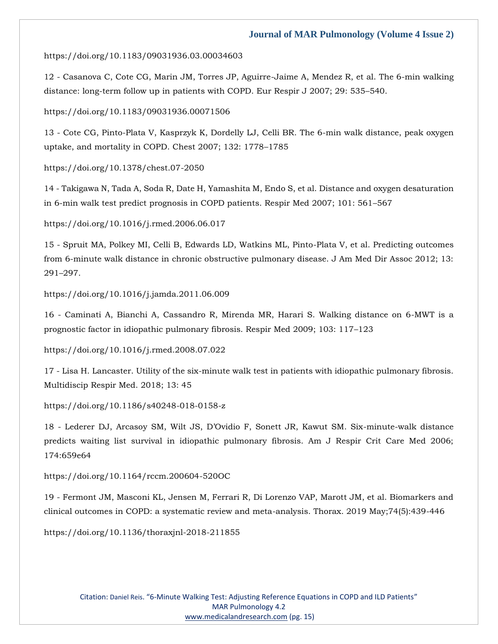#### https://doi.org/10.1183/09031936.03.00034603

12 - Casanova C, Cote CG, Marin JM, Torres JP, Aguirre-Jaime A, Mendez R, et al. The 6-min walking distance: long-term follow up in patients with COPD. Eur Respir J 2007; 29: 535–540.

https://doi.org/10.1183/09031936.00071506

13 - Cote CG, Pinto-Plata V, Kasprzyk K, Dordelly LJ, Celli BR. The 6-min walk distance, peak oxygen uptake, and mortality in COPD. Chest 2007; 132: 1778–1785

https://doi.org/10.1378/chest.07-2050

14 - Takigawa N, Tada A, Soda R, Date H, Yamashita M, Endo S, et al. Distance and oxygen desaturation in 6-min walk test predict prognosis in COPD patients. Respir Med 2007; 101: 561–567

https://doi.org/10.1016/j.rmed.2006.06.017

15 - Spruit MA, Polkey MI, Celli B, Edwards LD, Watkins ML, Pinto-Plata V, et al. Predicting outcomes from 6-minute walk distance in chronic obstructive pulmonary disease. J Am Med Dir Assoc 2012; 13: 291–297.

https://doi.org/10.1016/j.jamda.2011.06.009

16 - Caminati A, Bianchi A, Cassandro R, Mirenda MR, Harari S. Walking distance on 6-MWT is a prognostic factor in idiopathic pulmonary fibrosis. Respir Med 2009; 103: 117–123

https://doi.org/10.1016/j.rmed.2008.07.022

17 - Lisa H. Lancaster. Utility of the six-minute walk test in patients with idiopathic pulmonary fibrosis. Multidiscip Respir Med. 2018; 13: 45

https://doi.org/10.1186/s40248-018-0158-z

18 - Lederer DJ, Arcasoy SM, Wilt JS, D'Ovidio F, Sonett JR, Kawut SM. Six-minute-walk distance predicts waiting list survival in idiopathic pulmonary fibrosis. Am J Respir Crit Care Med 2006; 174:659e64

https://doi.org/10.1164/rccm.200604-520OC

19 - Fermont JM, Masconi KL, Jensen M, Ferrari R, Di Lorenzo VAP, Marott JM, et al. Biomarkers and clinical outcomes in COPD: a systematic review and meta-analysis. Thorax. 2019 May;74(5):439-446

https://doi.org/10.1136/thoraxjnl-2018-211855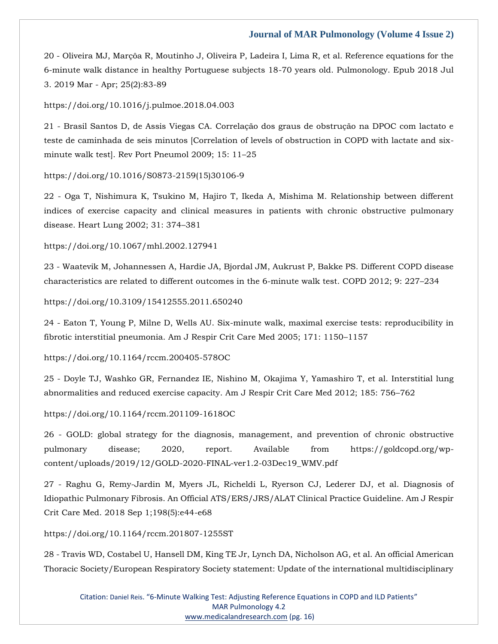20 - Oliveira MJ, Marçôa R, Moutinho J, Oliveira P, Ladeira I, Lima R, et al. Reference equations for the 6-minute walk distance in healthy Portuguese subjects 18-70 years old. Pulmonology. Epub 2018 Jul 3. 2019 Mar - Apr; 25(2):83-89

https://doi.org/10.1016/j.pulmoe.2018.04.003

21 - Brasil Santos D, de Assis Viegas CA. Correlação dos graus de obstrução na DPOC com lactato e teste de caminhada de seis minutos [Correlation of levels of obstruction in COPD with lactate and sixminute walk test]. Rev Port Pneumol 2009; 15: 11–25

https://doi.org/10.1016/S0873-2159(15)30106-9

22 - Oga T, Nishimura K, Tsukino M, Hajiro T, Ikeda A, Mishima M. Relationship between different indices of exercise capacity and clinical measures in patients with chronic obstructive pulmonary disease. Heart Lung 2002; 31: 374–381

https://doi.org/10.1067/mhl.2002.127941

23 - Waatevik M, Johannessen A, Hardie JA, Bjordal JM, Aukrust P, Bakke PS. Different COPD disease characteristics are related to different outcomes in the 6-minute walk test. COPD 2012; 9: 227–234

https://doi.org/10.3109/15412555.2011.650240

24 - Eaton T, Young P, Milne D, Wells AU. Six-minute walk, maximal exercise tests: reproducibility in fibrotic interstitial pneumonia. Am J Respir Crit Care Med 2005; 171: 1150–1157

https://doi.org/10.1164/rccm.200405-578OC

25 - Doyle TJ, Washko GR, Fernandez IE, Nishino M, Okajima Y, Yamashiro T, et al. Interstitial lung abnormalities and reduced exercise capacity. Am J Respir Crit Care Med 2012; 185: 756–762

https://doi.org/10.1164/rccm.201109-1618OC

26 - GOLD: global strategy for the diagnosis, management, and prevention of chronic obstructive pulmonary disease; 2020, report. Available from https://goldcopd.org/wpcontent/uploads/2019/12/GOLD-2020-FINAL-ver1.2-03Dec19\_WMV.pdf

27 - Raghu G, Remy-Jardin M, Myers JL, Richeldi L, Ryerson CJ, Lederer DJ, et al. Diagnosis of Idiopathic Pulmonary Fibrosis. An Official ATS/ERS/JRS/ALAT Clinical Practice Guideline. Am J Respir Crit Care Med. 2018 Sep 1;198(5):e44-e68

https://doi.org/10.1164/rccm.201807-1255ST

28 - Travis WD, Costabel U, Hansell DM, King TE Jr, Lynch DA, Nicholson AG, et al. An official American Thoracic Society/European Respiratory Society statement: Update of the international multidisciplinary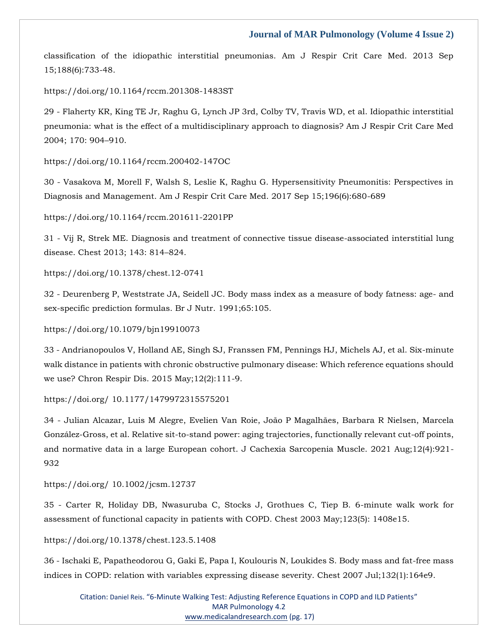classification of the idiopathic interstitial pneumonias. Am J Respir Crit Care Med. 2013 Sep 15;188(6):733-48.

https://doi.org/10.1164/rccm.201308-1483ST

29 - Flaherty KR, King TE Jr, Raghu G, Lynch JP 3rd, Colby TV, Travis WD, et al. Idiopathic interstitial pneumonia: what is the effect of a multidisciplinary approach to diagnosis? Am J Respir Crit Care Med 2004; 170: 904–910.

https://doi.org/10.1164/rccm.200402-147OC

30 - Vasakova M, Morell F, Walsh S, Leslie K, Raghu G. Hypersensitivity Pneumonitis: Perspectives in Diagnosis and Management. Am J Respir Crit Care Med. 2017 Sep 15;196(6):680-689

https://doi.org/10.1164/rccm.201611-2201PP

31 - Vij R, Strek ME. Diagnosis and treatment of connective tissue disease-associated interstitial lung disease. Chest 2013; 143: 814–824.

https://doi.org/10.1378/chest.12-0741

32 - Deurenberg P, Weststrate JA, Seidell JC. Body mass index as a measure of body fatness: age- and sex-specific prediction formulas. Br J Nutr. 1991;65:105.

https://doi.org/10.1079/bjn19910073

33 - Andrianopoulos V, Holland AE, Singh SJ, Franssen FM, Pennings HJ, Michels AJ, et al. Six-minute walk distance in patients with chronic obstructive pulmonary disease: Which reference equations should we use? Chron Respir Dis. 2015 May;12(2):111-9.

https://doi.org/ 10.1177/1479972315575201

34 - Julian Alcazar, Luis M Alegre, Evelien Van Roie, João P Magalhães, Barbara R Nielsen, Marcela González-Gross, et al. Relative sit-to-stand power: aging trajectories, functionally relevant cut-off points, and normative data in a large European cohort. J Cachexia Sarcopenia Muscle. 2021 Aug;12(4):921- 932

https://doi.org/ 10.1002/jcsm.12737

35 - Carter R, Holiday DB, Nwasuruba C, Stocks J, Grothues C, Tiep B. 6-minute walk work for assessment of functional capacity in patients with COPD. Chest 2003 May;123(5): 1408e15.

https://doi.org/10.1378/chest.123.5.1408

36 - Ischaki E, Papatheodorou G, Gaki E, Papa I, Koulouris N, Loukides S. Body mass and fat-free mass indices in COPD: relation with variables expressing disease severity. Chest 2007 Jul;132(1):164e9.

Citation: Daniel Reis. "6-Minute Walking Test: Adjusting Reference Equations in COPD and ILD Patients" MAR Pulmonology 4.2 [www.medicalandresearch.com](http://www.medicalandresearch.com/) (pg. 17)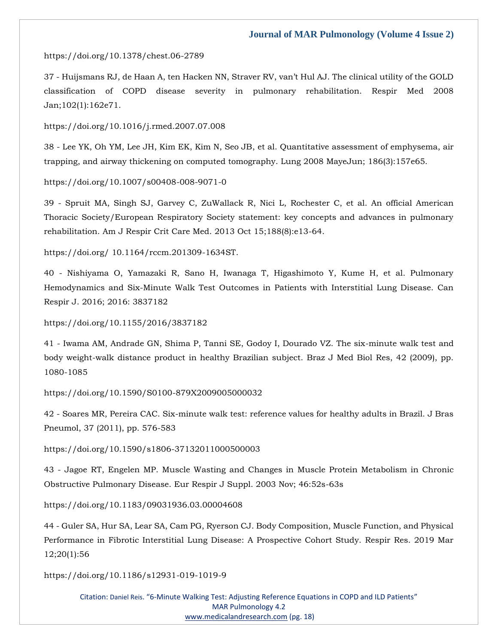#### https://doi.org/10.1378/chest.06-2789

37 - Huijsmans RJ, de Haan A, ten Hacken NN, Straver RV, van't Hul AJ. The clinical utility of the GOLD classification of COPD disease severity in pulmonary rehabilitation. Respir Med 2008 Jan;102(1):162e71.

https://doi.org/10.1016/j.rmed.2007.07.008

38 - Lee YK, Oh YM, Lee JH, Kim EK, Kim N, Seo JB, et al. Quantitative assessment of emphysema, air trapping, and airway thickening on computed tomography. Lung 2008 MayeJun; 186(3):157e65.

https://doi.org/10.1007/s00408-008-9071-0

39 - Spruit MA, Singh SJ, Garvey C, ZuWallack R, Nici L, Rochester C, et al. An official American Thoracic Society/European Respiratory Society statement: key concepts and advances in pulmonary rehabilitation. Am J Respir Crit Care Med. 2013 Oct 15;188(8):e13-64.

https://doi.org/ 10.1164/rccm.201309-1634ST.

40 - Nishiyama O, Yamazaki R, Sano H, Iwanaga T, Higashimoto Y, Kume H, et al. Pulmonary Hemodynamics and Six-Minute Walk Test Outcomes in Patients with Interstitial Lung Disease. Can Respir J. 2016; 2016: 3837182

https://doi.org/10.1155/2016/3837182

41 - Iwama AM, Andrade GN, Shima P, Tanni SE, Godoy I, Dourado VZ. The six-minute walk test and body weight-walk distance product in healthy Brazilian subject. Braz J Med Biol Res, 42 (2009), pp. 1080-1085

https://doi.org/10.1590/S0100-879X2009005000032

42 - Soares MR, Pereira CAC. Six-minute walk test: reference values for healthy adults in Brazil. J Bras Pneumol, 37 (2011), pp. 576-583

https://doi.org/10.1590/s1806-37132011000500003

43 - Jagoe RT, Engelen MP. Muscle Wasting and Changes in Muscle Protein Metabolism in Chronic Obstructive Pulmonary Disease. Eur Respir J Suppl. 2003 Nov; 46:52s-63s

https://doi.org/10.1183/09031936.03.00004608

44 - Guler SA, Hur SA, Lear SA, Cam PG, Ryerson CJ. Body Composition, Muscle Function, and Physical Performance in Fibrotic Interstitial Lung Disease: A Prospective Cohort Study. Respir Res. 2019 Mar 12;20(1):56

https://doi.org/10.1186/s12931-019-1019-9

Citation: Daniel Reis. "6-Minute Walking Test: Adjusting Reference Equations in COPD and ILD Patients" MAR Pulmonology 4.2 [www.medicalandresearch.com](http://www.medicalandresearch.com/) (pg. 18)